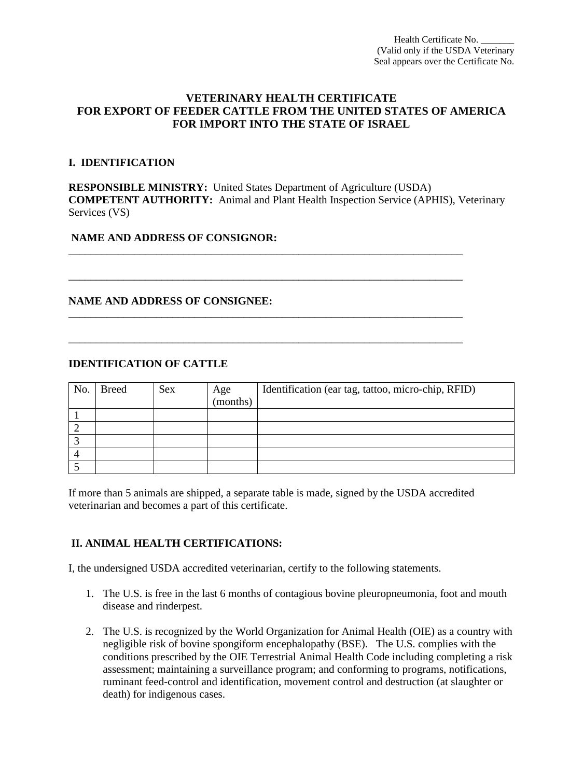# **VETERINARY HEALTH CERTIFICATE FOR EXPORT OF FEEDER CATTLE FROM THE UNITED STATES OF AMERICA FOR IMPORT INTO THE STATE OF ISRAEL**

#### **I. IDENTIFICATION**

**RESPONSIBLE MINISTRY:** United States Department of Agriculture (USDA) **COMPETENT AUTHORITY:** Animal and Plant Health Inspection Service (APHIS), Veterinary Services (VS)

\_\_\_\_\_\_\_\_\_\_\_\_\_\_\_\_\_\_\_\_\_\_\_\_\_\_\_\_\_\_\_\_\_\_\_\_\_\_\_\_\_\_\_\_\_\_\_\_\_\_\_\_\_\_\_\_\_\_\_\_\_\_\_\_\_\_\_\_\_\_\_\_

\_\_\_\_\_\_\_\_\_\_\_\_\_\_\_\_\_\_\_\_\_\_\_\_\_\_\_\_\_\_\_\_\_\_\_\_\_\_\_\_\_\_\_\_\_\_\_\_\_\_\_\_\_\_\_\_\_\_\_\_\_\_\_\_\_\_\_\_\_\_\_\_

\_\_\_\_\_\_\_\_\_\_\_\_\_\_\_\_\_\_\_\_\_\_\_\_\_\_\_\_\_\_\_\_\_\_\_\_\_\_\_\_\_\_\_\_\_\_\_\_\_\_\_\_\_\_\_\_\_\_\_\_\_\_\_\_\_\_\_\_\_\_\_\_

\_\_\_\_\_\_\_\_\_\_\_\_\_\_\_\_\_\_\_\_\_\_\_\_\_\_\_\_\_\_\_\_\_\_\_\_\_\_\_\_\_\_\_\_\_\_\_\_\_\_\_\_\_\_\_\_\_\_\_\_\_\_\_\_\_\_\_\_\_\_\_\_

## **NAME AND ADDRESS OF CONSIGNOR:**

## **NAME AND ADDRESS OF CONSIGNEE:**

## **IDENTIFICATION OF CATTLE**

| No. | <b>Breed</b> | <b>Sex</b> | Age<br>(months) | Identification (ear tag, tattoo, micro-chip, RFID) |
|-----|--------------|------------|-----------------|----------------------------------------------------|
|     |              |            |                 |                                                    |
|     |              |            |                 |                                                    |
|     |              |            |                 |                                                    |
|     |              |            |                 |                                                    |
|     |              |            |                 |                                                    |

If more than 5 animals are shipped, a separate table is made, signed by the USDA accredited veterinarian and becomes a part of this certificate.

# **II. ANIMAL HEALTH CERTIFICATIONS:**

I, the undersigned USDA accredited veterinarian, certify to the following statements.

- 1. The U.S. is free in the last 6 months of contagious bovine pleuropneumonia, foot and mouth disease and rinderpest.
- 2. The U.S. is recognized by the World Organization for Animal Health (OIE) as a country with negligible risk of bovine spongiform encephalopathy (BSE). The U.S. complies with the conditions prescribed by the OIE Terrestrial Animal Health Code including completing a risk assessment; maintaining a surveillance program; and conforming to programs, notifications, ruminant feed-control and identification, movement control and destruction (at slaughter or death) for indigenous cases.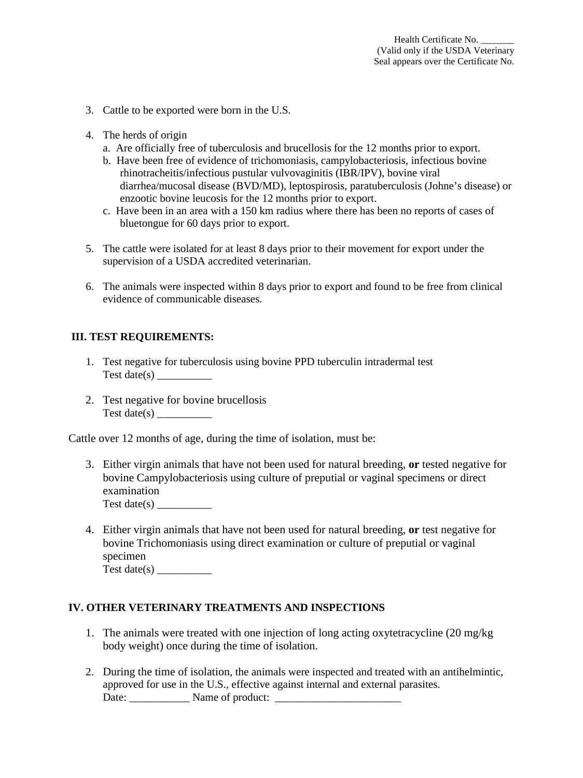- 3. Cattle to be exported were born in the U.S.
- 4. The herds of origin
	- a. Are officially free of tuberculosis and brucellosis for the 12 months prior to export.
	- b. Have been free of evidence of trichomoniasis, campylobacteriosis, infectious bovine rhinotracheitis/infectious pustular vulvovaginitis (IBR/IPV), bovine viral diarrhea/mucosal disease (BVD/MD), leptospirosis, paratuberculosis (Johne's disease) or enzootic bovine leucosis for the 12 months prior to export.
	- c. Have been in an area with a 150 km radius where there has been no reports of cases of bluetongue for 60 days prior to export.
- 5. The cattle were isolated for at least 8 days prior to their movement for export under the supervision of a USDA accredited veterinarian.
- 6. The animals were inspected within 8 days prior to export and found to be free from clinical evidence of communicable diseases.

#### **III. TEST REQUIREMENTS:**

- 1. Test negative for tuberculosis using bovine PPD tuberculin intradermal test Test date(s)  $\_\_\_\_\_\_\_\_\_\_\_\_\_\_\_$
- 2. Test negative for bovine brucellosis Test date( $s$ )

Cattle over 12 months of age, during the time of isolation, must be:

- 3. Either virgin animals that have not been used for natural breeding, **or** tested negative for bovine Campylobacteriosis using culture of preputial or vaginal specimens or direct examination Test date(s)  $\overline{\phantom{a}}$
- 4. Either virgin animals that have not been used for natural breeding, **or** test negative for bovine Trichomoniasis using direct examination or culture of preputial or vaginal specimen

Test date( $s$ )

#### **IV. OTHER VETERINARY TREATMENTS AND INSPECTIONS**

- 1. The animals were treated with one injection of long acting oxytetracycline (20 mg/kg body weight) once during the time of isolation.
- 2. During the time of isolation, the animals were inspected and treated with an antihelmintic, approved for use in the U.S., effective against internal and external parasites. Date: \_\_\_\_\_\_\_\_\_\_\_ Name of product: \_\_\_\_\_\_\_\_\_\_\_\_\_\_\_\_\_\_\_\_\_\_\_